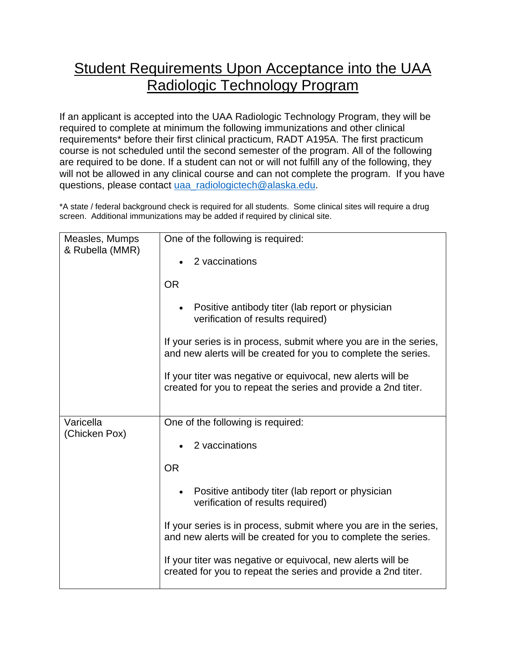## Student Requirements Upon Acceptance into the UAA Radiologic Technology Program

If an applicant is accepted into the UAA Radiologic Technology Program, they will be required to complete at minimum the following immunizations and other clinical requirements\* before their first clinical practicum, RADT A195A. The first practicum course is not scheduled until the second semester of the program. All of the following are required to be done. If a student can not or will not fulfill any of the following, they will not be allowed in any clinical course and can not complete the program. If you have questions, please contact [uaa\\_radiologictech@alaska.edu.](mailto:uaa_radiologictech@alaska.edu)

\*A state / federal background check is required for all students. Some clinical sites will require a drug screen. Additional immunizations may be added if required by clinical site.

| Measles, Mumps<br>& Rubella (MMR) | One of the following is required:                                                                                                   |
|-----------------------------------|-------------------------------------------------------------------------------------------------------------------------------------|
|                                   | 2 vaccinations                                                                                                                      |
|                                   | <b>OR</b>                                                                                                                           |
|                                   | Positive antibody titer (lab report or physician<br>$\bullet$<br>verification of results required)                                  |
|                                   | If your series is in process, submit where you are in the series,<br>and new alerts will be created for you to complete the series. |
|                                   | If your titer was negative or equivocal, new alerts will be<br>created for you to repeat the series and provide a 2nd titer.        |
|                                   |                                                                                                                                     |
| Varicella<br>(Chicken Pox)        | One of the following is required:                                                                                                   |
|                                   | 2 vaccinations                                                                                                                      |
|                                   | <b>OR</b>                                                                                                                           |
|                                   | Positive antibody titer (lab report or physician<br>$\bullet$<br>verification of results required)                                  |
|                                   | If your series is in process, submit where you are in the series,<br>and new alerts will be created for you to complete the series. |
|                                   | If your titer was negative or equivocal, new alerts will be<br>created for you to repeat the series and provide a 2nd titer.        |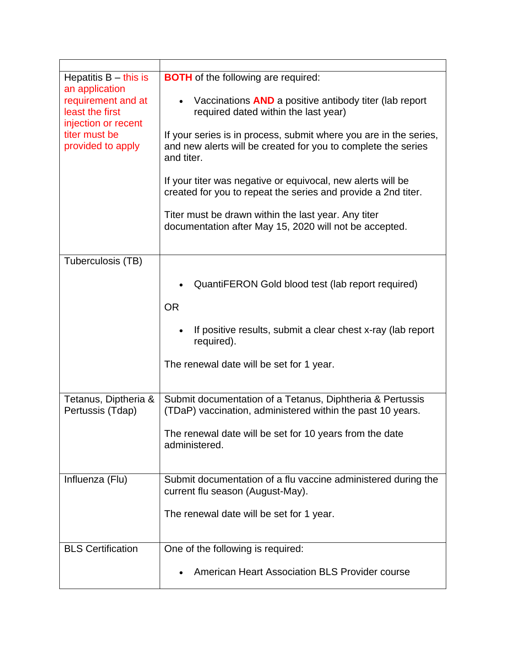| Hepatitis $B -$ this is<br>an application<br>requirement and at<br>least the first<br>injection or recent<br>titer must be<br>provided to apply | <b>BOTH</b> of the following are required:<br>Vaccinations <b>AND</b> a positive antibody titer (lab report<br>$\bullet$<br>required dated within the last year)<br>If your series is in process, submit where you are in the series,<br>and new alerts will be created for you to complete the series<br>and titer.<br>If your titer was negative or equivocal, new alerts will be<br>created for you to repeat the series and provide a 2nd titer.<br>Titer must be drawn within the last year. Any titer<br>documentation after May 15, 2020 will not be accepted. |
|-------------------------------------------------------------------------------------------------------------------------------------------------|-----------------------------------------------------------------------------------------------------------------------------------------------------------------------------------------------------------------------------------------------------------------------------------------------------------------------------------------------------------------------------------------------------------------------------------------------------------------------------------------------------------------------------------------------------------------------|
|                                                                                                                                                 |                                                                                                                                                                                                                                                                                                                                                                                                                                                                                                                                                                       |
| Tuberculosis (TB)                                                                                                                               | QuantiFERON Gold blood test (lab report required)<br><b>OR</b><br>If positive results, submit a clear chest x-ray (lab report<br>$\bullet$<br>required).<br>The renewal date will be set for 1 year.                                                                                                                                                                                                                                                                                                                                                                  |
| Tetanus, Diptheria &<br>Pertussis (Tdap)                                                                                                        | Submit documentation of a Tetanus, Diphtheria & Pertussis<br>(TDaP) vaccination, administered within the past 10 years.<br>The renewal date will be set for 10 years from the date<br>administered.                                                                                                                                                                                                                                                                                                                                                                   |
| Influenza (Flu)                                                                                                                                 | Submit documentation of a flu vaccine administered during the<br>current flu season (August-May).<br>The renewal date will be set for 1 year.                                                                                                                                                                                                                                                                                                                                                                                                                         |
| <b>BLS Certification</b>                                                                                                                        | One of the following is required:<br><b>American Heart Association BLS Provider course</b>                                                                                                                                                                                                                                                                                                                                                                                                                                                                            |